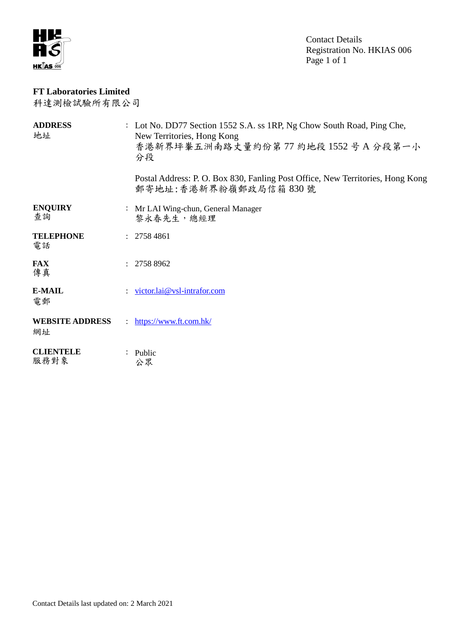

Contact Details Registration No. HKIAS 006 Page 1 of 1

## **FT Laboratories Limited**

科達測檢試驗所有限公司

| <b>ADDRESS</b><br>地址         | : Lot No. DD77 Section 1552 S.A. ss 1RP, Ng Chow South Road, Ping Che,<br>New Territories, Hong Kong<br>香港新界坪輋五洲南路丈量約份第77 約地段 1552号A分段第一小<br>分段 |
|------------------------------|-------------------------------------------------------------------------------------------------------------------------------------------------|
|                              | Postal Address: P. O. Box 830, Fanling Post Office, New Territories, Hong Kong<br>郵寄地址:香港新界粉嶺郵政局信箱 830號                                         |
| <b>ENQUIRY</b><br>查詢         | : Mr LAI Wing-chun, General Manager<br>黎永春先生,總經理                                                                                                |
| <b>TELEPHONE</b><br>電話       | : 27584861                                                                                                                                      |
| <b>FAX</b><br>傳真             | 2758 8962                                                                                                                                       |
| <b>E-MAIL</b><br>電郵          | victor.lai@vsl-intrafor.com                                                                                                                     |
| <b>WEBSITE ADDRESS</b><br>網址 | : https://www.ft.com.hk/                                                                                                                        |
| <b>CLIENTELE</b><br>服務對象     | $:$ Public<br>公眾                                                                                                                                |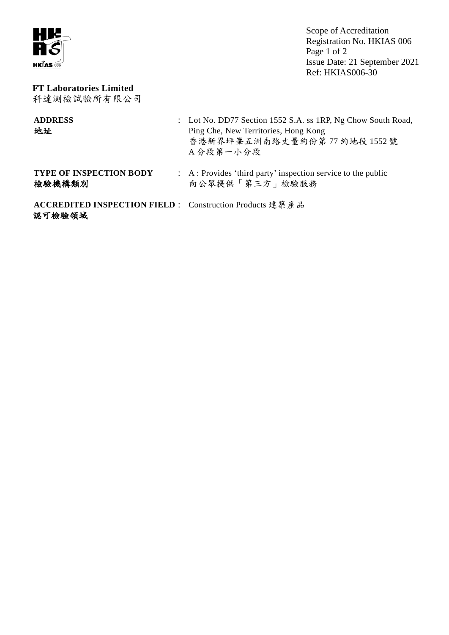

Scope of Accreditation Registration No. HKIAS 006 Page 1 of 2 Issue Date: 21 September 2021 Ref: HKIAS006-30

## **FT Laboratories Limited** 科達測檢試驗所有限公司

| <b>ADDRESS</b><br>地址                                                     | : Lot No. DD77 Section 1552 S.A. ss 1RP, Ng Chow South Road,<br>Ping Che, New Territories, Hong Kong<br>香港新界坪輋五洲南路丈量約份第77 約地段 1552號<br>A分段第一小分段 |
|--------------------------------------------------------------------------|-------------------------------------------------------------------------------------------------------------------------------------------------|
| <b>TYPE OF INSPECTION BODY</b><br>檢驗機構類別                                 | : A : Provides 'third party' inspection service to the public<br>向公眾提供「第三方」檢驗服務                                                                 |
| <b>ACCREDITED INSPECTION FIELD:</b> Construction Products 建築產品<br>認可檢驗領域 |                                                                                                                                                 |